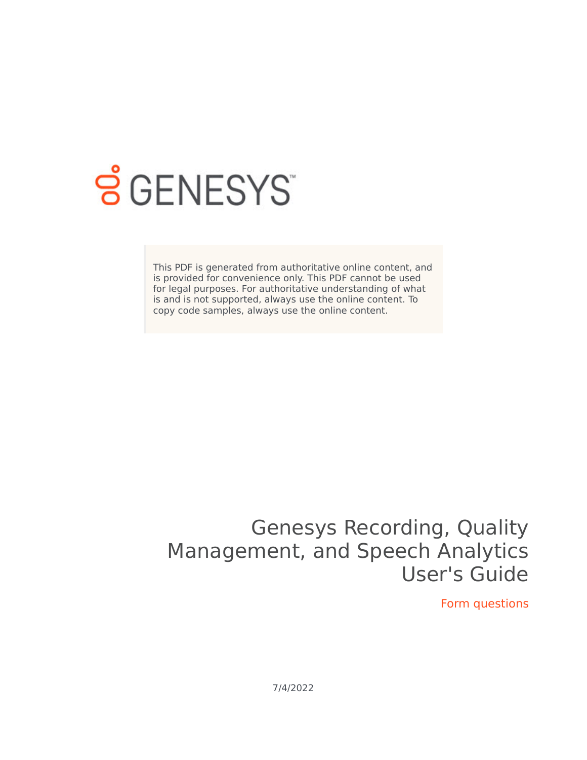

# **SGENESYS**

This PDF is generated from authoritative online content, and is provided for convenience only. This PDF cannot be used for legal purposes. For authoritative understanding of what is and is not supported, always use the online content. To copy code samples, always use the online content.

## Genesys Recording, Quality Management, and Speech Analytics User's Guide

Form questions

7/4/2022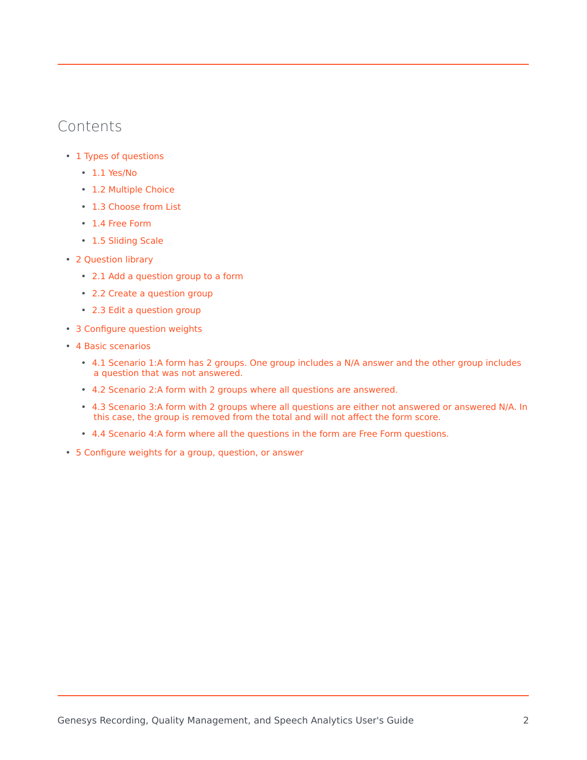### Contents

- 1 [Types of questions](#page-2-0)
	- 1.1 [Yes/No](#page-2-1)
	- 1.2 [Multiple Choice](#page-3-0)
	- 1.3 [Choose from List](#page-3-1)
	- 1.4 [Free Form](#page-4-0)
	- 1.5 [Sliding Scale](#page-4-1)
- 2 [Question library](#page-4-2)
	- 2.1 [Add a question group to a form](#page-5-0)
	- 2.2 [Create a question group](#page-5-1)
	- 2.3 [Edit a question group](#page-6-0)
- 3 [Configure question weights](#page-6-1)
- 4 [Basic scenarios](#page-8-0)
	- 4.1 [Scenario 1:A form has 2 groups. One group includes a N/A answer and the other group includes](#page-8-1) [a question that was not answered.](#page-8-1)
	- 4.2 [Scenario 2:A form with 2 groups where all questions are answered.](#page-9-0)
	- 4.3 [Scenario 3:A form with 2 groups where all questions are either not answered or answered N/A. In](#page-10-0) [this case, the group is removed from the total and will not affect the form score.](#page-10-0)
	- 4.4 [Scenario 4:A form where all the questions in the form are Free Form questions.](#page-10-1)
- 5 [Configure weights for a group, question, or answer](#page-10-2)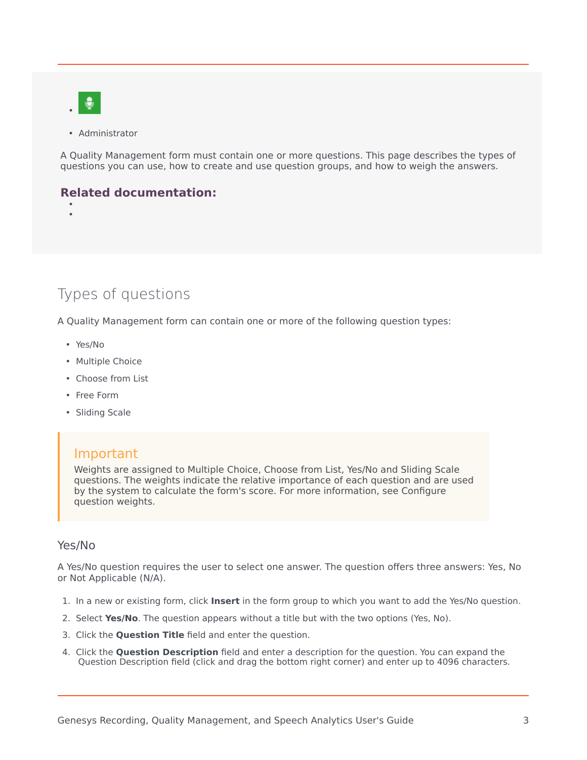

• •

• Administrator

A Quality Management form must contain one or more questions. This page describes the types of questions you can use, how to create and use question groups, and how to weigh the answers.

#### **Related documentation:**

<span id="page-2-0"></span>Types of questions

A Quality Management form can contain one or more of the following question types:

- Yes/No
- Multiple Choice
- Choose from List
- Free Form
- Sliding Scale

#### Important

Weights are assigned to Multiple Choice, Choose from List, Yes/No and Sliding Scale questions. The weights indicate the relative importance of each question and are used by the system to calculate the form's score. For more information, see Configure question weights.

#### <span id="page-2-1"></span>Yes/No

A Yes/No question requires the user to select one answer. The question offers three answers: Yes, No or Not Applicable (N/A).

- 1. In a new or existing form, click **Insert** in the form group to which you want to add the Yes/No question.
- 2. Select **Yes/No**. The question appears without a title but with the two options (Yes, No).
- 3. Click the **Question Title** field and enter the question.
- 4. Click the **Question Description** field and enter a description for the question. You can expand the Question Description field (click and drag the bottom right corner) and enter up to 4096 characters.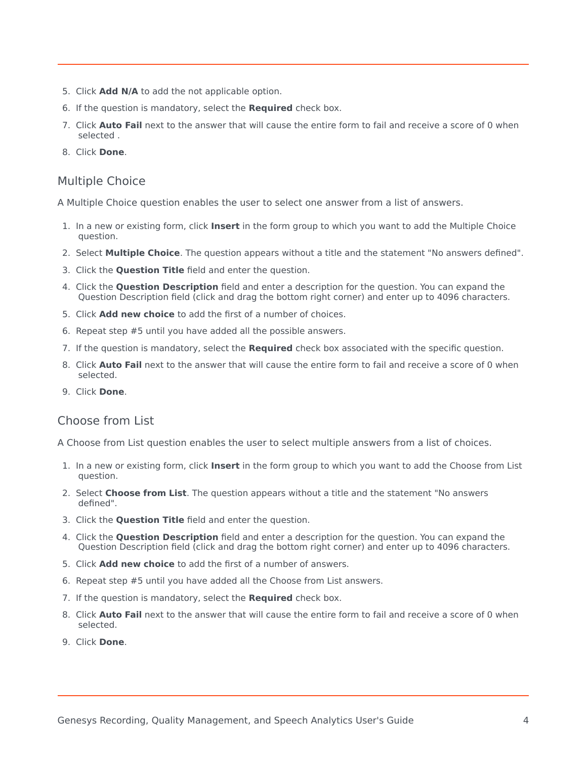- 5. Click **Add N/A** to add the not applicable option.
- 6. If the question is mandatory, select the **Required** check box.
- 7. Click **Auto Fail** next to the answer that will cause the entire form to fail and receive a score of 0 when selected .
- 8. Click **Done**.

#### <span id="page-3-0"></span>Multiple Choice

A Multiple Choice question enables the user to select one answer from a list of answers.

- 1. In a new or existing form, click **Insert** in the form group to which you want to add the Multiple Choice question.
- 2. Select **Multiple Choice**. The question appears without a title and the statement "No answers defined".
- 3. Click the **Question Title** field and enter the question.
- 4. Click the **Question Description** field and enter a description for the question. You can expand the Question Description field (click and drag the bottom right corner) and enter up to 4096 characters.
- 5. Click **Add new choice** to add the first of a number of choices.
- 6. Repeat step #5 until you have added all the possible answers.
- 7. If the question is mandatory, select the **Required** check box associated with the specific question.
- 8. Click **Auto Fail** next to the answer that will cause the entire form to fail and receive a score of 0 when selected.
- 9. Click **Done**.

#### <span id="page-3-1"></span>Choose from List

A Choose from List question enables the user to select multiple answers from a list of choices.

- 1. In a new or existing form, click **Insert** in the form group to which you want to add the Choose from List question.
- 2. Select **Choose from List**. The question appears without a title and the statement "No answers defined".
- 3. Click the **Question Title** field and enter the question.
- 4. Click the **Question Description** field and enter a description for the question. You can expand the Question Description field (click and drag the bottom right corner) and enter up to 4096 characters.
- 5. Click **Add new choice** to add the first of a number of answers.
- 6. Repeat step #5 until you have added all the Choose from List answers.
- 7. If the question is mandatory, select the **Required** check box.
- 8. Click **Auto Fail** next to the answer that will cause the entire form to fail and receive a score of 0 when selected.
- 9. Click **Done**.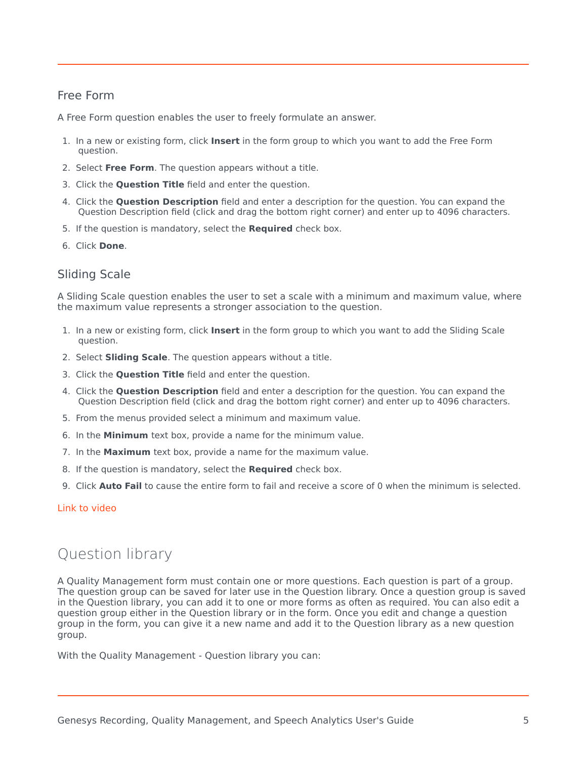#### <span id="page-4-0"></span>Free Form

A Free Form question enables the user to freely formulate an answer.

- 1. In a new or existing form, click **Insert** in the form group to which you want to add the Free Form question.
- 2. Select **Free Form**. The question appears without a title.
- 3. Click the **Question Title** field and enter the question.
- 4. Click the **Question Description** field and enter a description for the question. You can expand the Question Description field (click and drag the bottom right corner) and enter up to 4096 characters.
- 5. If the question is mandatory, select the **Required** check box.
- 6. Click **Done**.

#### <span id="page-4-1"></span>Sliding Scale

A Sliding Scale question enables the user to set a scale with a minimum and maximum value, where the maximum value represents a stronger association to the question.

- 1. In a new or existing form, click **Insert** in the form group to which you want to add the Sliding Scale question.
- 2. Select **Sliding Scale**. The question appears without a title.
- 3. Click the **Question Title** field and enter the question.
- 4. Click the **Question Description** field and enter a description for the question. You can expand the Question Description field (click and drag the bottom right corner) and enter up to 4096 characters.
- 5. From the menus provided select a minimum and maximum value.
- 6. In the **Minimum** text box, provide a name for the minimum value.
- 7. In the **Maximum** text box, provide a name for the maximum value.
- 8. If the question is mandatory, select the **Required** check box.
- 9. Click **Auto Fail** to cause the entire form to fail and receive a score of 0 when the minimum is selected.

#### [Link to video](https://player.vimeo.com/video/711528495?title=0&byline=0&portrait=0)

## <span id="page-4-2"></span>Question library

A Quality Management form must contain one or more questions. Each question is part of a group. The question group can be saved for later use in the Question library. Once a question group is saved in the Question library, you can add it to one or more forms as often as required. You can also edit a question group either in the Question library or in the form. Once you edit and change a question group in the form, you can give it a new name and add it to the Question library as a new question group.

With the Quality Management - Question library you can: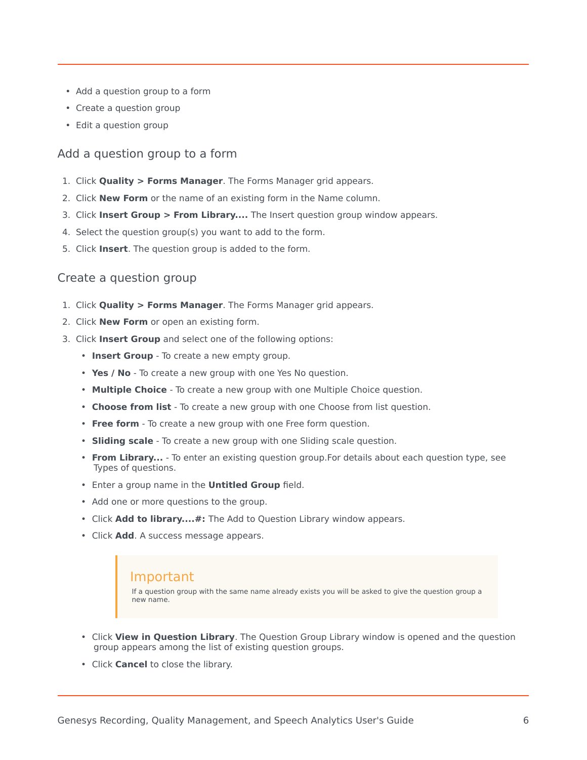- Add a question group to a form
- Create a question group
- Edit a question group

#### <span id="page-5-0"></span>Add a question group to a form

- 1. Click **Quality > Forms Manager**. The Forms Manager grid appears.
- 2. Click **New Form** or the name of an existing form in the Name column.
- 3. Click **Insert Group > From Library....** The Insert question group window appears.
- 4. Select the question group(s) you want to add to the form.
- 5. Click **Insert**. The question group is added to the form.

#### <span id="page-5-1"></span>Create a question group

- 1. Click **Quality > Forms Manager**. The Forms Manager grid appears.
- 2. Click **New Form** or open an existing form.
- 3. Click **Insert Group** and select one of the following options:
	- **Insert Group** To create a new empty group.
	- **Yes / No** To create a new group with one Yes No question.
	- **Multiple Choice** To create a new group with one Multiple Choice question.
	- **Choose from list** To create a new group with one Choose from list question.
	- **Free form** To create a new group with one Free form question.
	- **Sliding scale** To create a new group with one Sliding scale question.
	- **From Library...** To enter an existing question group.For details about each question type, see Types of questions.
	- Enter a group name in the **Untitled Group** field.
	- Add one or more questions to the group.
	- Click **Add to library....#:** The Add to Question Library window appears.
	- Click **Add**. A success message appears.

#### Important

If a question group with the same name already exists you will be asked to give the question group a new name.

- Click **View in Question Library**. The Question Group Library window is opened and the question group appears among the list of existing question groups.
- Click **Cancel** to close the library.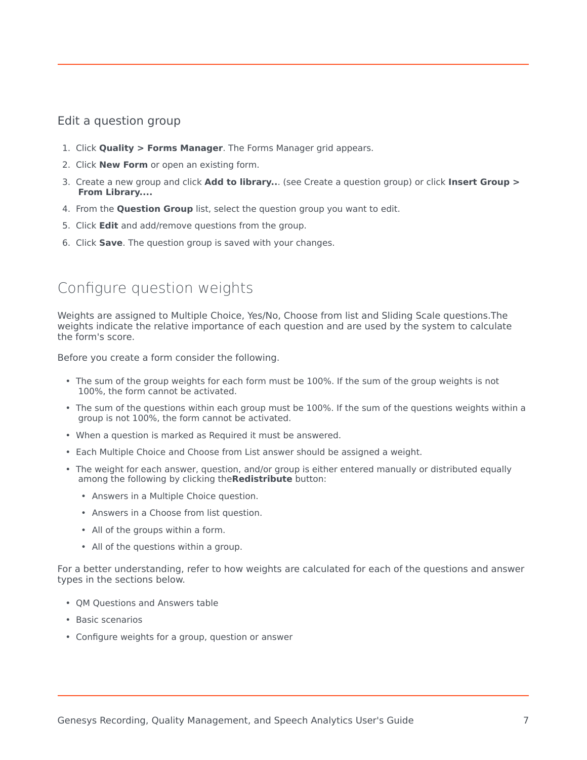#### <span id="page-6-0"></span>Edit a question group

- 1. Click **Quality > Forms Manager**. The Forms Manager grid appears.
- 2. Click **New Form** or open an existing form.
- 3. Create a new group and click **Add to library..**. (see Create a question group) or click **Insert Group > From Library....**
- 4. From the **Question Group** list, select the question group you want to edit.
- 5. Click **Edit** and add/remove questions from the group.
- 6. Click **Save**. The question group is saved with your changes.

## <span id="page-6-1"></span>Configure question weights

Weights are assigned to Multiple Choice, Yes/No, Choose from list and Sliding Scale questions.The weights indicate the relative importance of each question and are used by the system to calculate the form's score.

Before you create a form consider the following.

- The sum of the group weights for each form must be 100%. If the sum of the group weights is not 100%, the form cannot be activated.
- The sum of the questions within each group must be 100%. If the sum of the questions weights within a group is not 100%, the form cannot be activated.
- When a question is marked as Required it must be answered.
- Each Multiple Choice and Choose from List answer should be assigned a weight.
- The weight for each answer, question, and/or group is either entered manually or distributed equally among the following by clicking the**Redistribute** button:
	- Answers in a Multiple Choice question.
	- Answers in a Choose from list question.
	- All of the groups within a form.
	- All of the questions within a group.

For a better understanding, refer to how weights are calculated for each of the questions and answer types in the sections below.

- QM Questions and Answers table
- Basic scenarios
- Configure weights for a group, question or answer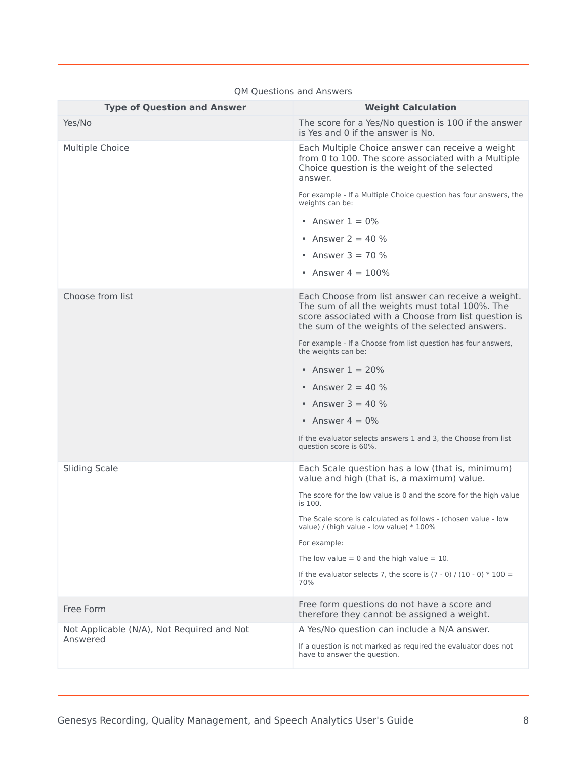| <b>Type of Question and Answer</b>                     | <b>Weight Calculation</b>                                                                                                                                                                                        |
|--------------------------------------------------------|------------------------------------------------------------------------------------------------------------------------------------------------------------------------------------------------------------------|
| Yes/No                                                 | The score for a Yes/No question is 100 if the answer<br>is Yes and 0 if the answer is No.                                                                                                                        |
| Multiple Choice                                        | Each Multiple Choice answer can receive a weight<br>from 0 to 100. The score associated with a Multiple<br>Choice question is the weight of the selected<br>answer.                                              |
|                                                        | For example - If a Multiple Choice question has four answers, the<br>weights can be:                                                                                                                             |
|                                                        | • Answer $1 = 0\%$                                                                                                                                                                                               |
|                                                        | • Answer $2 = 40 \%$                                                                                                                                                                                             |
|                                                        | • Answer $3 = 70 \%$                                                                                                                                                                                             |
|                                                        | • Answer $4 = 100\%$                                                                                                                                                                                             |
| Choose from list                                       | Each Choose from list answer can receive a weight.<br>The sum of all the weights must total 100%. The<br>score associated with a Choose from list question is<br>the sum of the weights of the selected answers. |
|                                                        | For example - If a Choose from list question has four answers,<br>the weights can be:                                                                                                                            |
|                                                        | • Answer $1 = 20\%$                                                                                                                                                                                              |
|                                                        | • Answer $2 = 40 \%$                                                                                                                                                                                             |
|                                                        | • Answer $3 = 40 \%$                                                                                                                                                                                             |
|                                                        | • Answer $4 = 0\%$                                                                                                                                                                                               |
|                                                        | If the evaluator selects answers 1 and 3, the Choose from list<br>question score is 60%.                                                                                                                         |
| <b>Sliding Scale</b>                                   | Each Scale question has a low (that is, minimum)<br>value and high (that is, a maximum) value.                                                                                                                   |
|                                                        | The score for the low value is 0 and the score for the high value<br>is 100.                                                                                                                                     |
|                                                        | The Scale score is calculated as follows - (chosen value - low<br>value) / (high value - low value) * 100%                                                                                                       |
|                                                        | For example:                                                                                                                                                                                                     |
|                                                        | The low value = 0 and the high value = $10$ .                                                                                                                                                                    |
|                                                        | If the evaluator selects 7, the score is $(7 - 0) / (10 - 0) * 100 =$<br>70%                                                                                                                                     |
| Free Form                                              | Free form questions do not have a score and<br>therefore they cannot be assigned a weight.                                                                                                                       |
| Not Applicable (N/A), Not Required and Not<br>Answered | A Yes/No question can include a N/A answer.                                                                                                                                                                      |
|                                                        | If a question is not marked as required the evaluator does not<br>have to answer the question.                                                                                                                   |

#### QM Questions and Answers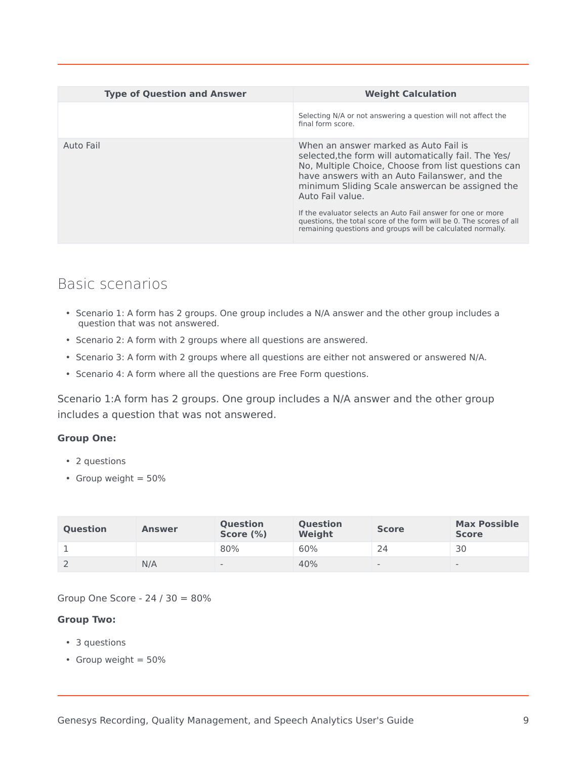| <b>Type of Question and Answer</b> | <b>Weight Calculation</b>                                                                                                                                                                                                                                                                                                                    |
|------------------------------------|----------------------------------------------------------------------------------------------------------------------------------------------------------------------------------------------------------------------------------------------------------------------------------------------------------------------------------------------|
|                                    | Selecting N/A or not answering a question will not affect the<br>final form score.                                                                                                                                                                                                                                                           |
| Auto Fail                          | When an answer marked as Auto Fail is<br>selected, the form will automatically fail. The Yes/<br>No, Multiple Choice, Choose from list questions can<br>have answers with an Auto Failanswer, and the<br>minimum Sliding Scale answercan be assigned the<br>Auto Fail value.<br>If the evaluator selects an Auto Fail answer for one or more |
|                                    | questions, the total score of the form will be 0. The scores of all<br>remaining questions and groups will be calculated normally.                                                                                                                                                                                                           |

## <span id="page-8-0"></span>Basic scenarios

- Scenario 1: A form has 2 groups. One group includes a N/A answer and the other group includes a question that was not answered.
- Scenario 2: A form with 2 groups where all questions are answered.
- Scenario 3: A form with 2 groups where all questions are either not answered or answered N/A.
- Scenario 4: A form where all the questions are Free Form questions.

<span id="page-8-1"></span>Scenario 1:A form has 2 groups. One group includes a N/A answer and the other group includes a question that was not answered.

#### **Group One:**

- 2 questions
- Group weight  $= 50\%$

| <b>Question</b> | <b>Answer</b> | <b>Ouestion</b><br>Score (%) | <b>Question</b><br>Weight | <b>Score</b>    | <b>Max Possible</b><br><b>Score</b> |
|-----------------|---------------|------------------------------|---------------------------|-----------------|-------------------------------------|
|                 |               | 80%                          | 60%                       | 24              | 30                                  |
| L               | N/A           | $\qquad \qquad$              | 40%                       | $\qquad \qquad$ | $\qquad \qquad -$                   |

Group One Score - 24 / 30 = 80%

#### **Group Two:**

- 3 questions
- Group weight = 50%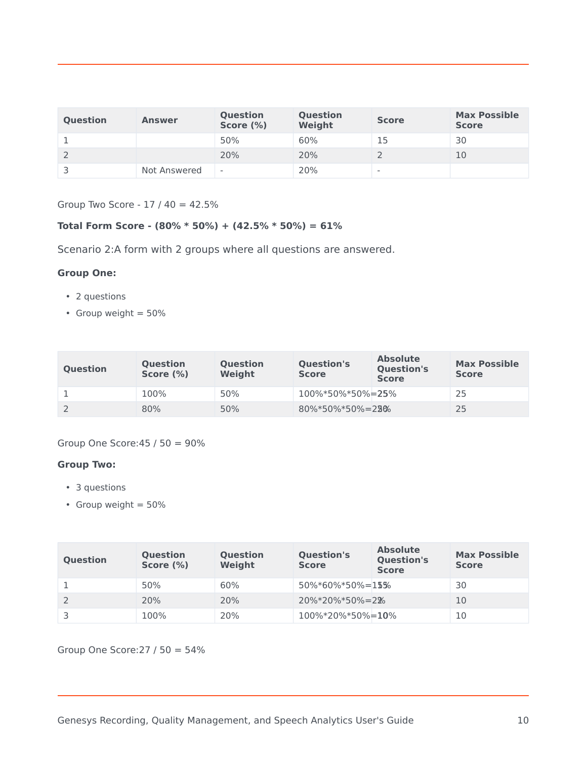| <b>Question</b> | <b>Answer</b> | <b>Question</b><br>Score (%) | <b>Question</b><br>Weight | <b>Score</b>             | <b>Max Possible</b><br><b>Score</b> |
|-----------------|---------------|------------------------------|---------------------------|--------------------------|-------------------------------------|
|                 |               | 50%                          | 60%                       | 15                       | 30                                  |
|                 |               | 20%                          | 20%                       |                          | 10                                  |
|                 | Not Answered  | $\qquad \qquad \blacksquare$ | 20%                       | $\overline{\phantom{0}}$ |                                     |

Group Two Score - 17 / 40 = 42.5%

#### **Total Form Score - (80% \* 50%) + (42.5% \* 50%) = 61%**

<span id="page-9-0"></span>Scenario 2:A form with 2 groups where all questions are answered.

#### **Group One:**

- 2 questions
- Group weight  $= 50\%$

| <b>Question</b> | <b>Question</b><br>Score $(\%)$ | <b>Question</b><br>Weight | <b>Question's</b><br><b>Score</b> | <b>Absolute</b><br><b>Question's</b><br><b>Score</b> | <b>Max Possible</b><br><b>Score</b> |
|-----------------|---------------------------------|---------------------------|-----------------------------------|------------------------------------------------------|-------------------------------------|
|                 | 100%                            | 50%                       | 100%*50%*50%=25%                  |                                                      | 25                                  |
|                 | 80%                             | 50%                       | $80\%*50\%*50\% = 28\%$           |                                                      | 25                                  |

#### Group One Score:45 / 50 = 90%

#### **Group Two:**

- 3 questions
- Group weight = 50%

| <b>Question</b> | <b>Question</b><br>Score (%) | <b>Question</b><br>Weight | <b>Question's</b><br><b>Score</b> | <b>Absolute</b><br><b>Question's</b><br><b>Score</b> | <b>Max Possible</b><br><b>Score</b> |
|-----------------|------------------------------|---------------------------|-----------------------------------|------------------------------------------------------|-------------------------------------|
|                 | 50%                          | 60%                       | $50\% * 60\% * 50\% = 15\%$       |                                                      | 30                                  |
|                 | 20%                          | 20%                       | $20\%*20\%*50\% = 2\%$            |                                                      | 10                                  |
|                 | 100%                         | 20%                       | $100\%*20\%*50\% = 10\%$          |                                                      | 10                                  |

Group One Score:27 / 50 = 54%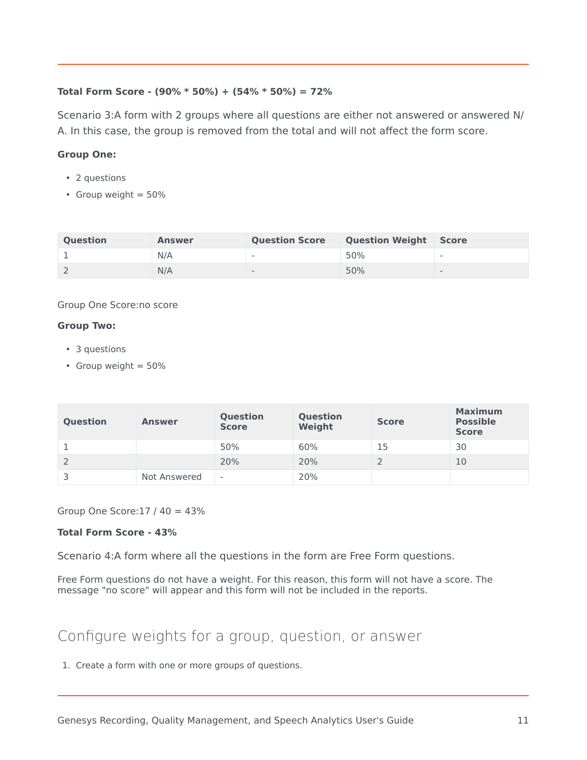#### **Total Form Score - (90% \* 50%) + (54% \* 50%) = 72%**

<span id="page-10-0"></span>Scenario 3:A form with 2 groups where all questions are either not answered or answered N/ A. In this case, the group is removed from the total and will not affect the form score.

#### **Group One:**

- 2 questions
- Group weight  $= 50\%$

| <b>Ouestion</b> | <b>Answer</b> | <b>Question Score</b>    | <b>Question Weight</b> | <b>Score</b>             |
|-----------------|---------------|--------------------------|------------------------|--------------------------|
|                 | N/A           | $\overline{\phantom{a}}$ | 50%                    | $\sim$                   |
|                 | N/A           | $\overline{\phantom{a}}$ | 50%                    | $\overline{\phantom{0}}$ |

#### Group One Score:no score

#### **Group Two:**

- 3 questions
- Group weight  $= 50\%$

| <b>Question</b> | <b>Answer</b> | <b>Question</b><br><b>Score</b> | Question<br>Weight | <b>Score</b> | <b>Maximum</b><br><b>Possible</b><br><b>Score</b> |
|-----------------|---------------|---------------------------------|--------------------|--------------|---------------------------------------------------|
|                 |               | 50%                             | 60%                | 15           | 30                                                |
|                 |               | 20%                             | 20%                |              | 10                                                |
|                 | Not Answered  | $\overline{\phantom{0}}$        | 20%                |              |                                                   |

Group One Score:  $17/40 = 43\%$ 

#### **Total Form Score - 43%**

<span id="page-10-1"></span>Scenario 4:A form where all the questions in the form are Free Form questions.

Free Form questions do not have a weight. For this reason, this form will not have a score. The message "no score" will appear and this form will not be included in the reports.

## <span id="page-10-2"></span>Configure weights for a group, question, or answer

1. Create a form with one or more groups of questions.